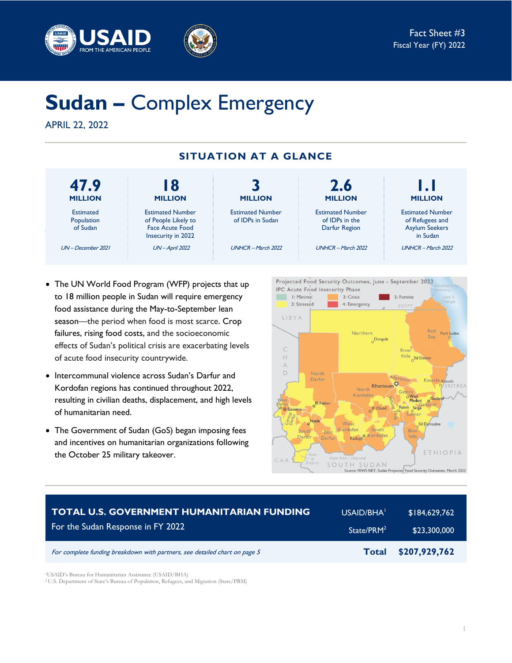



# **Sudan –** Complex Emergency

APRIL 22, 2022



- The UN World Food Program (WFP) projects that up to 18 million people in Sudan will require emergency food assistance during the May-to-September lean season—the period when food is most scarce. Crop failures, rising food costs, and the socioeconomic effects of Sudan's political crisis are exacerbating levels of acute food insecurity countrywide.
- Intercommunal violence across Sudan's Darfur and Kordofan regions has continued throughout 2022, resulting in civilian deaths, displacement, and high levels of humanitarian need.
- The Government of Sudan (GoS) began imposing fees and incentives on humanitarian organizations following the October 25 military takeover.



| <b>TOTAL U.S. GOVERNMENT HUMANITARIAN FUNDING</b>                          | USAID/BHA <sup>1</sup> | \$184,629,762 |
|----------------------------------------------------------------------------|------------------------|---------------|
| For the Sudan Response in FY 2022                                          | State/PRM <sup>2</sup> | \$23,300,000  |
| For complete funding breakdown with partners, see detailed chart on page 5 | <b>Total</b>           | \$207,929,762 |

<sup>1</sup>USAID's Bureau for Humanitarian Assistance (USAID/BHA)

<sup>2</sup> U.S. Department of State's Bureau of Population, Refugees, and Migration (State/PRM)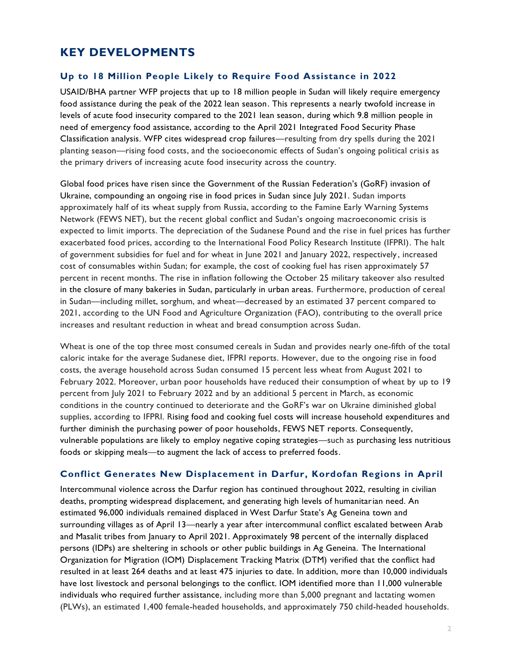# **KEY DEVELOPMENTS**

#### **Up to 18 Million People Likely to Require Food Assistance in 2022**

USAID/BHA partner WFP projects that up to 18 million people in Sudan will likely require emergency food assistance during the peak of the 2022 lean season. This represents a nearly twofold increase in levels of acute food insecurity compared to the 2021 lean season, during which 9.8 million people in need of emergency food assistance, according to the April 2021 Integrated Food Security Phase Classification analysis. WFP cites widespread crop failures—resulting from dry spells during the 2021 planting season—rising food costs, and the socioeconomic effects of Sudan's ongoing political crisis as the primary drivers of increasing acute food insecurity across the country.

Global food prices have risen since the Government of the Russian Federation's (GoRF) invasion of Ukraine, compounding an ongoing rise in food prices in Sudan since July 2021. Sudan imports approximately half of its wheat supply from Russia, according to the Famine Early Warning Systems Network (FEWS NET), but the recent global conflict and Sudan's ongoing macroeconomic crisis is expected to limit imports. The depreciation of the Sudanese Pound and the rise in fuel prices has further exacerbated food prices, according to the International Food Policy Research Institute (IFPRI). The halt of government subsidies for fuel and for wheat in June 2021 and January 2022, respectively , increased cost of consumables within Sudan; for example, the cost of cooking fuel has risen approximately 57 percent in recent months. The rise in inflation following the October 25 military takeover also resulted in the closure of many bakeries in Sudan, particularly in urban areas. Furthermore, production of cereal in Sudan—including millet, sorghum, and wheat—decreased by an estimated 37 percent compared to 2021, according to the UN Food and Agriculture Organization (FAO), contributing to the overall price increases and resultant reduction in wheat and bread consumption across Sudan.

Wheat is one of the top three most consumed cereals in Sudan and provides nearly one-fifth of the total caloric intake for the average Sudanese diet, IFPRI reports. However, due to the ongoing rise in food costs, the average household across Sudan consumed 15 percent less wheat from August 2021 to February 2022. Moreover, urban poor households have reduced their consumption of wheat by up to 19 percent from July 2021 to February 2022 and by an additional 5 percent in March, as economic conditions in the country continued to deteriorate and the GoRF's war on Ukraine diminished global supplies, according to IFPRI. Rising food and cooking fuel costs will increase household expenditures and further diminish the purchasing power of poor households, FEWS NET reports. Consequently, vulnerable populations are likely to employ negative coping strategies—such as purchasing less nutritious foods or skipping meals—to augment the lack of access to preferred foods.

#### **Conflict Generates New Displacement in Darfur, Kordofan Regions in April**

Intercommunal violence across the Darfur region has continued throughout 2022, resulting in civilian deaths, prompting widespread displacement, and generating high levels of humanitarian need. An estimated 96,000 individuals remained displaced in West Darfur State's Ag Geneina town and surrounding villages as of April 13—nearly a year after intercommunal conflict escalated between Arab and Masalit tribes from January to April 2021. Approximately 98 percent of the internally displaced persons (IDPs) are sheltering in schools or other public buildings in Ag Geneina. The International Organization for Migration (IOM) Displacement Tracking Matrix (DTM) verified that the conflict had resulted in at least 264 deaths and at least 475 injuries to date. In addition, more than 10,000 individuals have lost livestock and personal belongings to the conflict. IOM identified more than 11,000 vulnerable individuals who required further assistance, including more than 5,000 pregnant and lactating women (PLWs), an estimated 1,400 female-headed households, and approximately 750 child-headed households.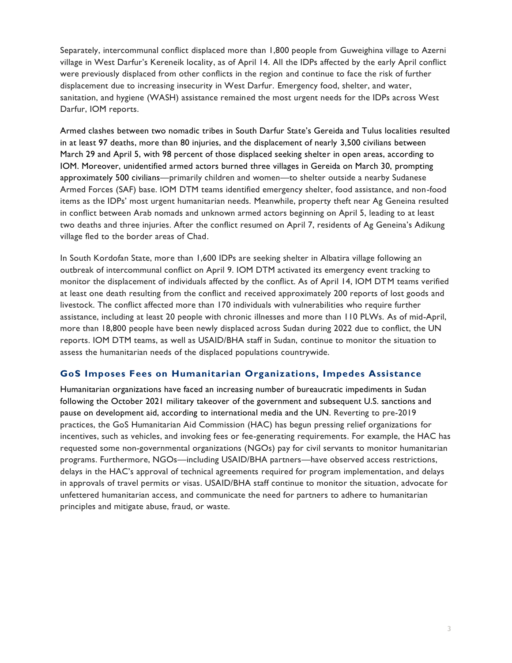Separately, intercommunal conflict displaced more than 1,800 people from Guweighina village to Azerni village in West Darfur's Kereneik locality, as of April 14. All the IDPs affected by the early April conflict were previously displaced from other conflicts in the region and continue to face the risk of further displacement due to increasing insecurity in West Darfur. Emergency food, shelter, and water, sanitation, and hygiene (WASH) assistance remained the most urgent needs for the IDPs across West Darfur, IOM reports.

Armed clashes between two nomadic tribes in South Darfur State's Gereida and Tulus localities resulted in at least 97 deaths, more than 80 injuries, and the displacement of nearly 3,500 civilians between March 29 and April 5, with 98 percent of those displaced seeking shelter in open areas, according to IOM. Moreover, unidentified armed actors burned three villages in Gereida on March 30, prompting approximately 500 civilians—primarily children and women—to shelter outside a nearby Sudanese Armed Forces (SAF) base. IOM DTM teams identified emergency shelter, food assistance, and non-food items as the IDPs' most urgent humanitarian needs. Meanwhile, property theft near Ag Geneina resulted in conflict between Arab nomads and unknown armed actors beginning on April 5, leading to at least two deaths and three injuries. After the conflict resumed on April 7, residents of Ag Geneina's Adikung village fled to the border areas of Chad.

In South Kordofan State, more than 1,600 IDPs are seeking shelter in Albatira village following an outbreak of intercommunal conflict on April 9. IOM DTM activated its emergency event tracking to monitor the displacement of individuals affected by the conflict. As of April 14, IOM DTM teams verified at least one death resulting from the conflict and received approximately 200 reports of lost goods and livestock. The conflict affected more than 170 individuals with vulnerabilities who require further assistance, including at least 20 people with chronic illnesses and more than 110 PLWs. As of mid-April, more than 18,800 people have been newly displaced across Sudan during 2022 due to conflict, the UN reports. IOM DTM teams, as well as USAID/BHA staff in Sudan, continue to monitor the situation to assess the humanitarian needs of the displaced populations countrywide.

#### **GoS Imposes Fees on Humanitarian Organizations, Impedes Assistance**

Humanitarian organizations have faced an increasing number of bureaucratic impediments in Sudan following the October 2021 military takeover of the government and subsequent U.S. sanctions and pause on development aid, according to international media and the UN. Reverting to pre-2019 practices, the GoS Humanitarian Aid Commission (HAC) has begun pressing relief organizations for incentives, such as vehicles, and invoking fees or fee-generating requirements. For example, the HAC has requested some non-governmental organizations (NGOs) pay for civil servants to monitor humanitarian programs. Furthermore, NGOs—including USAID/BHA partners—have observed access restrictions, delays in the HAC's approval of technical agreements required for program implementation, and delays in approvals of travel permits or visas. USAID/BHA staff continue to monitor the situation, advocate for unfettered humanitarian access, and communicate the need for partners to adhere to humanitarian principles and mitigate abuse, fraud, or waste.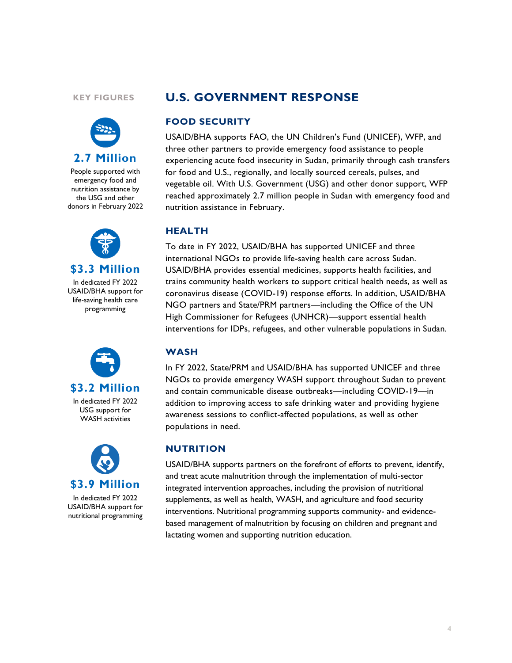#### **KEY FIGURES**



People supported with emergency food and nutrition assistance by the USG and other donors in February 2022



**\$3.3 Million**

In dedicated FY 2022 USAID/BHA support for life-saving health care programming



In dedicated FY 2022 USG support for WASH activities



USAID/BHA support for nutritional programming

## **U.S. GOVERNMENT RESPONSE**

#### **FOOD SECURITY**

USAID/BHA supports FAO, the UN Children's Fund (UNICEF), WFP, and three other partners to provide emergency food assistance to people experiencing acute food insecurity in Sudan, primarily through cash transfers for food and U.S., regionally, and locally sourced cereals, pulses, and vegetable oil. With U.S. Government (USG) and other donor support, WFP reached approximately 2.7 million people in Sudan with emergency food and nutrition assistance in February.

#### **HEALTH**

To date in FY 2022, USAID/BHA has supported UNICEF and three international NGOs to provide life-saving health care across Sudan. USAID/BHA provides essential medicines, supports health facilities, and trains community health workers to support critical health needs, as well as coronavirus disease (COVID-19) response efforts. In addition, USAID/BHA NGO partners and State/PRM partners—including the Office of the UN High Commissioner for Refugees (UNHCR)—support essential health interventions for IDPs, refugees, and other vulnerable populations in Sudan.

#### **WASH**

In FY 2022, State/PRM and USAID/BHA has supported UNICEF and three NGOs to provide emergency WASH support throughout Sudan to prevent and contain communicable disease outbreaks—including COVID-19—in addition to improving access to safe drinking water and providing hygiene awareness sessions to conflict-affected populations, as well as other populations in need.

## **NUTRITION**

USAID/BHA supports partners on the forefront of efforts to prevent, identify, and treat acute malnutrition through the implementation of multi-sector integrated intervention approaches, including the provision of nutritional supplements, as well as health, WASH, and agriculture and food security interventions. Nutritional programming supports community- and evidencebased management of malnutrition by focusing on children and pregnant and lactating women and supporting nutrition education.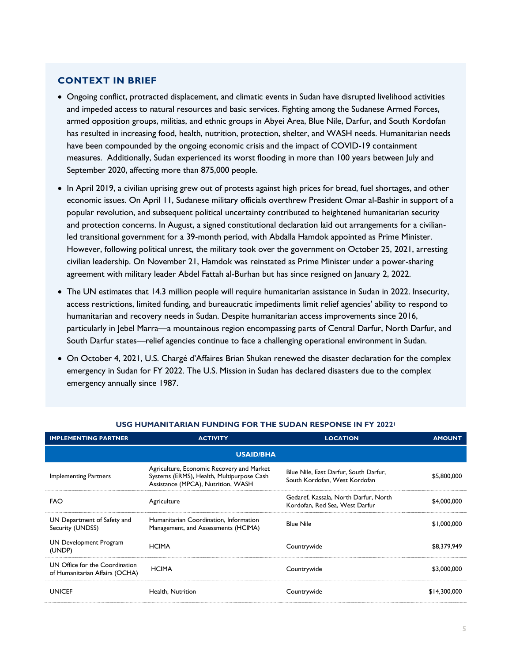#### **CONTEXT IN BRIEF**

- Ongoing conflict, protracted displacement, and climatic events in Sudan have disrupted livelihood activities and impeded access to natural resources and basic services. Fighting among the Sudanese Armed Forces, armed opposition groups, militias, and ethnic groups in Abyei Area, Blue Nile, Darfur, and South Kordofan has resulted in increasing food, health, nutrition, protection, shelter, and WASH needs. Humanitarian needs have been compounded by the ongoing economic crisis and the impact of COVID-19 containment measures. Additionally, Sudan experienced its worst flooding in more than 100 years between July and September 2020, affecting more than 875,000 people.
- In April 2019, a civilian uprising grew out of protests against high prices for bread, fuel shortages, and other economic issues. On April 11, Sudanese military officials overthrew President Omar al-Bashir in support of a popular revolution, and subsequent political uncertainty contributed to heightened humanitarian security and protection concerns. In August, a signed constitutional declaration laid out arrangements for a civilianled transitional government for a 39-month period, with Abdalla Hamdok appointed as Prime Minister. However, following political unrest, the military took over the government on October 25, 2021, arresting civilian leadership. On November 21, Hamdok was reinstated as Prime Minister under a power-sharing agreement with military leader Abdel Fattah al-Burhan but has since resigned on January 2, 2022.
- The UN estimates that 14.3 million people will require humanitarian assistance in Sudan in 2022. Insecurity, access restrictions, limited funding, and bureaucratic impediments limit relief agencies' ability to respond to humanitarian and recovery needs in Sudan. Despite humanitarian access improvements since 2016, particularly in Jebel Marra—a mountainous region encompassing parts of Central Darfur, North Darfur, and South Darfur states—relief agencies continue to face a challenging operational environment in Sudan.
- On October 4, 2021, U.S. Chargé d'Affaires Brian Shukan renewed the disaster declaration for the complex emergency in Sudan for FY 2022. The U.S. Mission in Sudan has declared disasters due to the complex emergency annually since 1987.

| <b>IMPLEMENTING PARTNER</b>                                      | <b>ACTIVITY</b>                                                                                                              | <b>LOCATION</b>                                                         | <b>AMOUNT</b> |  |  |
|------------------------------------------------------------------|------------------------------------------------------------------------------------------------------------------------------|-------------------------------------------------------------------------|---------------|--|--|
| <b>USAID/BHA</b>                                                 |                                                                                                                              |                                                                         |               |  |  |
| Implementing Partners                                            | Agriculture, Economic Recovery and Market<br>Systems (ERMS), Health, Multipurpose Cash<br>Assistance (MPCA), Nutrition, WASH | Blue Nile, East Darfur, South Darfur,<br>South Kordofan, West Kordofan  | \$5,800,000   |  |  |
| <b>FAO</b>                                                       | Agriculture                                                                                                                  | Gedaref, Kassala, North Darfur, North<br>Kordofan, Red Sea, West Darfur | \$4,000,000   |  |  |
| UN Department of Safety and<br>Security (UNDSS)                  | Humanitarian Coordination, Information<br>Management, and Assessments (HCIMA)                                                | <b>Blue Nile</b>                                                        | \$1,000,000   |  |  |
| UN Development Program<br>(UNDP)                                 | <b>HCIMA</b>                                                                                                                 | Countrywide                                                             | \$8,379,949   |  |  |
| UN Office for the Coordination<br>of Humanitarian Affairs (OCHA) | <b>HCIMA</b>                                                                                                                 | Countrywide                                                             | \$3,000,000   |  |  |
| <b>UNICEF</b>                                                    | Health, Nutrition                                                                                                            | Countrywide                                                             | \$14,300,000  |  |  |

#### **USG HUMANITARIAN FUNDING FOR THE SUDAN RESPONSE IN FY 2022<sup>1</sup>**